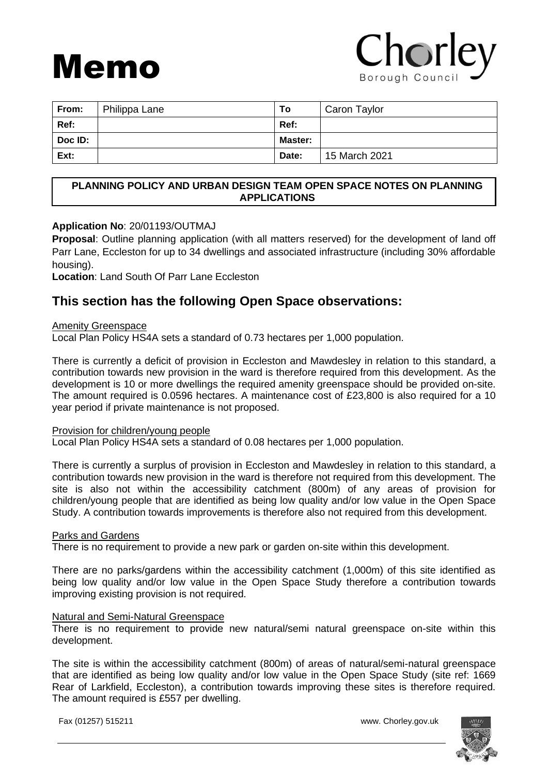# Memo

## Chorley Borough Counci

| From:          | Philippa Lane | To             | Caron Taylor  |
|----------------|---------------|----------------|---------------|
| Ref:           |               | Ref:           |               |
| <b>Doc ID:</b> |               | <b>Master:</b> |               |
| Ext:           |               | Date:          | 15 March 2021 |

#### **PLANNING POLICY AND URBAN DESIGN TEAM OPEN SPACE NOTES ON PLANNING APPLICATIONS**

#### **Application No**: 20/01193/OUTMAJ

**Proposal**: Outline planning application (with all matters reserved) for the development of land off Parr Lane, Eccleston for up to 34 dwellings and associated infrastructure (including 30% affordable housing).

**Location**: Land South Of Parr Lane Eccleston

### **This section has the following Open Space observations:**

#### Amenity Greenspace

Local Plan Policy HS4A sets a standard of 0.73 hectares per 1,000 population.

There is currently a deficit of provision in Eccleston and Mawdesley in relation to this standard, a contribution towards new provision in the ward is therefore required from this development. As the development is 10 or more dwellings the required amenity greenspace should be provided on-site. The amount required is 0.0596 hectares. A maintenance cost of £23,800 is also required for a 10 year period if private maintenance is not proposed.

#### Provision for children/young people

Local Plan Policy HS4A sets a standard of 0.08 hectares per 1,000 population.

There is currently a surplus of provision in Eccleston and Mawdesley in relation to this standard, a contribution towards new provision in the ward is therefore not required from this development. The site is also not within the accessibility catchment (800m) of any areas of provision for children/young people that are identified as being low quality and/or low value in the Open Space Study. A contribution towards improvements is therefore also not required from this development.

#### Parks and Gardens

There is no requirement to provide a new park or garden on-site within this development.

There are no parks/gardens within the accessibility catchment (1,000m) of this site identified as being low quality and/or low value in the Open Space Study therefore a contribution towards improving existing provision is not required.

#### Natural and Semi-Natural Greenspace

There is no requirement to provide new natural/semi natural greenspace on-site within this development.

The site is within the accessibility catchment (800m) of areas of natural/semi-natural greenspace that are identified as being low quality and/or low value in the Open Space Study (site ref: 1669 Rear of Larkfield, Eccleston), a contribution towards improving these sites is therefore required. The amount required is £557 per dwelling.

Fax (01257) 515211 www. Chorley.gov.uk